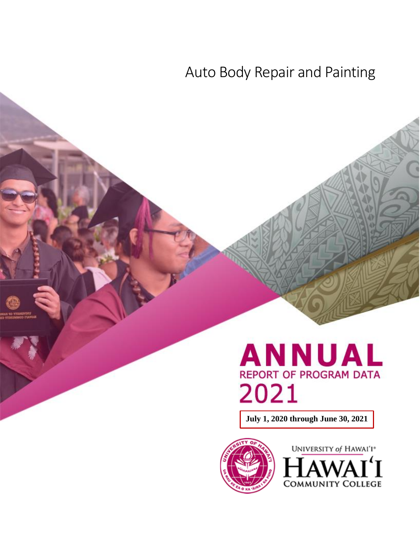## Auto Body Repair and Painting

# **ANNUAL REPORT OF PROGRAM DATA** 2021

**July 1, 2020 through June 30, 2021**



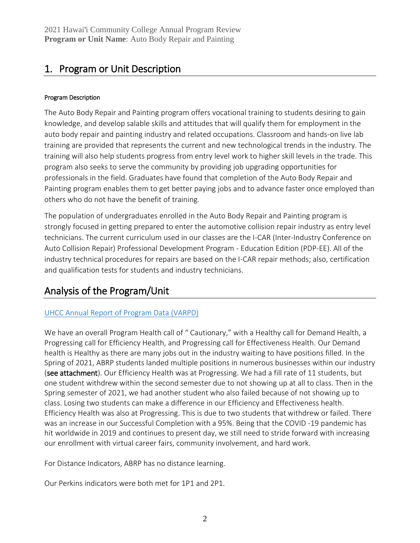## 1. Program or Unit Description

#### Program Description

The Auto Body Repair and Painting program offers vocational training to students desiring to gain knowledge, and develop salable skills and attitudes that will qualify them for employment in the auto body repair and painting industry and related occupations. Classroom and hands-on live lab training are provided that represents the current and new technological trends in the industry. The training will also help students progress from entry level work to higher skill levels in the trade. This program also seeks to serve the community by providing job upgrading opportunities for professionals in the field. Graduates have found that completion of the Auto Body Repair and Painting program enables them to get better paying jobs and to advance faster once employed than others who do not have the benefit of training.

The population of undergraduates enrolled in the Auto Body Repair and Painting program is strongly focused in getting prepared to enter the automotive collision repair industry as entry level technicians. The current curriculum used in our classes are the I-CAR (Inter-Industry Conference on Auto Collision Repair) Professional Development Program - Education Edition (PDP-EE). All of the industry technical procedures for repairs are based on the I-CAR repair methods; also, certification and qualification tests for students and industry technicians.

## Analysis of the Program/Unit

#### [UHCC Annual Report of Program Data \(VARPD\)](https://uhcc.hawaii.edu/varpd/)

We have an overall Program Health call of " Cautionary," with a Healthy call for Demand Health, a Progressing call for Efficiency Health, and Progressing call for Effectiveness Health. Our Demand health is Healthy as there are many jobs out in the industry waiting to have positions filled. In the Spring of 2021, ABRP students landed multiple positions in numerous businesses within our industry (see attachment). Our Efficiency Health was at Progressing. We had a fill rate of 11 students, but one student withdrew within the second semester due to not showing up at all to class. Then in the Spring semester of 2021, we had another student who also failed because of not showing up to class. Losing two students can make a difference in our Efficiency and Effectiveness health. Efficiency Health was also at Progressing. This is due to two students that withdrew or failed. There was an increase in our Successful Completion with a 95%. Being that the COVID -19 pandemic has hit worldwide in 2019 and continues to present day, we still need to stride forward with increasing our enrollment with virtual career fairs, community involvement, and hard work.

For Distance Indicators, ABRP has no distance learning.

Our Perkins indicators were both met for 1P1 and 2P1.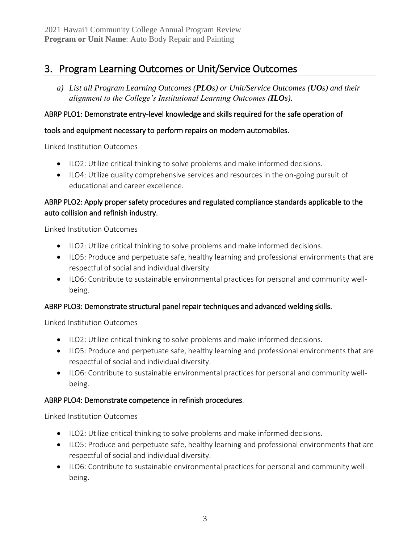## 3. Program Learning Outcomes or Unit/Service Outcomes

*a) List all Program Learning Outcomes (PLOs) or Unit/Service Outcomes (UOs) and their alignment to the College's Institutional Learning Outcomes (ILOs).*

#### ABRP PLO1: Demonstrate entry-level knowledge and skills required for the safe operation of

#### tools and equipment necessary to perform repairs on modern automobiles.

Linked Institution Outcomes

- ILO2: Utilize critical thinking to solve problems and make informed decisions.
- ILO4: Utilize quality comprehensive services and resources in the on-going pursuit of educational and career excellence.

#### ABRP PLO2: Apply proper safety procedures and regulated compliance standards applicable to the auto collision and refinish industry.

Linked Institution Outcomes

- ILO2: Utilize critical thinking to solve problems and make informed decisions.
- ILO5: Produce and perpetuate safe, healthy learning and professional environments that are respectful of social and individual diversity.
- ILO6: Contribute to sustainable environmental practices for personal and community wellbeing.

#### ABRP PLO3: Demonstrate structural panel repair techniques and advanced welding skills.

Linked Institution Outcomes

- ILO2: Utilize critical thinking to solve problems and make informed decisions.
- ILO5: Produce and perpetuate safe, healthy learning and professional environments that are respectful of social and individual diversity.
- ILO6: Contribute to sustainable environmental practices for personal and community wellbeing.

#### ABRP PLO4: Demonstrate competence in refinish procedures.

Linked Institution Outcomes

- ILO2: Utilize critical thinking to solve problems and make informed decisions.
- ILO5: Produce and perpetuate safe, healthy learning and professional environments that are respectful of social and individual diversity.
- ILO6: Contribute to sustainable environmental practices for personal and community wellbeing.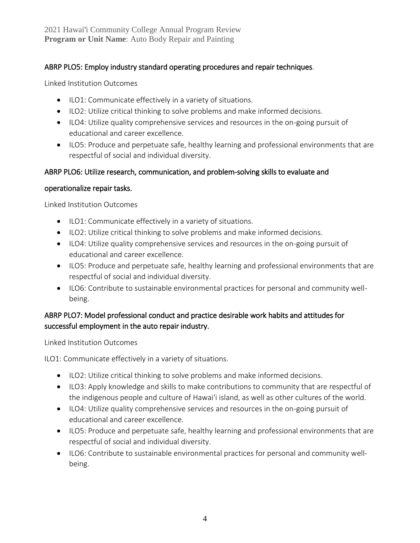#### ABRP PLO5: Employ industry standard operating procedures and repair techniques.

Linked Institution Outcomes

- ILO1: Communicate effectively in a variety of situations.
- ILO2: Utilize critical thinking to solve problems and make informed decisions.
- ILO4: Utilize quality comprehensive services and resources in the on-going pursuit of educational and career excellence.
- ILO5: Produce and perpetuate safe, healthy learning and professional environments that are respectful of social and individual diversity.

#### ABRP PLO6: Utilize research, communication, and problem-solving skills to evaluate and

#### operationalize repair tasks.

Linked Institution Outcomes

- ILO1: Communicate effectively in a variety of situations.
- ILO2: Utilize critical thinking to solve problems and make informed decisions.
- ILO4: Utilize quality comprehensive services and resources in the on-going pursuit of educational and career excellence.
- ILO5: Produce and perpetuate safe, healthy learning and professional environments that are respectful of social and individual diversity.
- ILO6: Contribute to sustainable environmental practices for personal and community wellbeing.

#### ABRP PLO7: Model professional conduct and practice desirable work habits and attitudes for successful employment in the auto repair industry.

Linked Institution Outcomes

ILO1: Communicate effectively in a variety of situations.

- ILO2: Utilize critical thinking to solve problems and make informed decisions.
- ILO3: Apply knowledge and skills to make contributions to community that are respectful of the indigenous people and culture of Hawai'i island, as well as other cultures of the world.
- ILO4: Utilize quality comprehensive services and resources in the on-going pursuit of educational and career excellence.
- ILO5: Produce and perpetuate safe, healthy learning and professional environments that are respectful of social and individual diversity.
- ILO6: Contribute to sustainable environmental practices for personal and community wellbeing.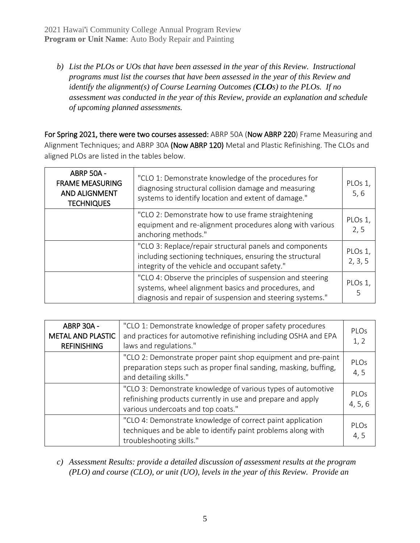2021 Hawai'i Community College Annual Program Review **Program or Unit Name**: Auto Body Repair and Painting

*b) List the PLOs or UOs that have been assessed in the year of this Review. Instructional programs must list the courses that have been assessed in the year of this Review and identify the alignment(s) of Course Learning Outcomes (CLOs) to the PLOs. If no assessment was conducted in the year of this Review, provide an explanation and schedule of upcoming planned assessments.*

For Spring 2021, there were two courses assessed: ABRP 50A (Now ABRP 220) Frame Measuring and Alignment Techniques; and ABRP 30A (Now ABRP 120) Metal and Plastic Refinishing. The CLOs and aligned PLOs are listed in the tables below.

| <b>ABRP 50A -</b><br><b>FRAME MEASURING</b><br><b>AND ALIGNMENT</b><br><b>TECHNIQUES</b> | "CLO 1: Demonstrate knowledge of the procedures for<br>diagnosing structural collision damage and measuring<br>systems to identify location and extent of damage."            | PLOs 1,<br>5, 6    |
|------------------------------------------------------------------------------------------|-------------------------------------------------------------------------------------------------------------------------------------------------------------------------------|--------------------|
|                                                                                          | "CLO 2: Demonstrate how to use frame straightening<br>equipment and re-alignment procedures along with various<br>anchoring methods."                                         | PLOs 1,<br>2, 5    |
|                                                                                          | "CLO 3: Replace/repair structural panels and components<br>including sectioning techniques, ensuring the structural<br>integrity of the vehicle and occupant safety."         | PLOs 1,<br>2, 3, 5 |
|                                                                                          | "CLO 4: Observe the principles of suspension and steering<br>systems, wheel alignment basics and procedures, and<br>diagnosis and repair of suspension and steering systems." | PLOs 1,            |

| <b>ABRP 30A -</b><br><b>METAL AND PLASTIC</b><br><b>REFINISHING</b> | "CLO 1: Demonstrate knowledge of proper safety procedures<br>and practices for automotive refinishing including OSHA and EPA<br>laws and regulations."            | PIOS<br>1, 2           |
|---------------------------------------------------------------------|-------------------------------------------------------------------------------------------------------------------------------------------------------------------|------------------------|
|                                                                     | "CLO 2: Demonstrate proper paint shop equipment and pre-paint<br>preparation steps such as proper final sanding, masking, buffing,<br>and detailing skills."      | PLOs<br>4, 5           |
|                                                                     | "CLO 3: Demonstrate knowledge of various types of automotive<br>refinishing products currently in use and prepare and apply<br>various undercoats and top coats." | <b>PLOs</b><br>4, 5, 6 |
|                                                                     | "CLO 4: Demonstrate knowledge of correct paint application<br>techniques and be able to identify paint problems along with<br>troubleshooting skills."            | PLOs<br>4, 5           |

*c) Assessment Results: provide a detailed discussion of assessment results at the program (PLO) and course (CLO), or unit (UO), levels in the year of this Review. Provide an*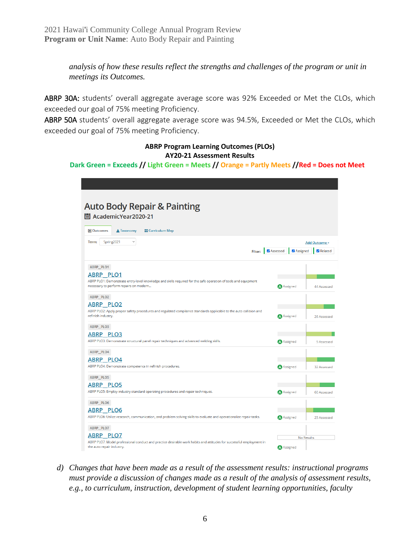*analysis of how these results reflect the strengths and challenges of the program or unit in meetings its Outcomes.*

ABRP 30A: students' overall aggregate average score was 92% Exceeded or Met the CLOs, which exceeded our goal of 75% meeting Proficiency.

ABRP 50A students' overall aggregate average score was 94.5%, Exceeded or Met the CLOs, which exceeded our goal of 75% meeting Proficiency.

#### **ABRP Program Learning Outcomes (PLOs) AY20-21 Assessment Results**

**Dark Green = Exceeds // Light Green = Meets // Orange = Partly Meets //Red = Does not Meet**

| <b>Auto Body Repair &amp; Painting</b>                                                                                                                   |          |                   |               |
|----------------------------------------------------------------------------------------------------------------------------------------------------------|----------|-------------------|---------------|
| 圖 AcademicYear2020-21                                                                                                                                    |          |                   |               |
|                                                                                                                                                          |          |                   |               |
| Outcomes<br><b>EE</b> Curriculum Map<br><b>A</b> Taxonomy                                                                                                |          |                   |               |
| Term:<br>Spring2021<br>$\checkmark$                                                                                                                      |          |                   | Add Outcome - |
| <b>Filter:</b>                                                                                                                                           | Assessed | Assigned          | Related       |
|                                                                                                                                                          |          |                   |               |
| ABRP PLO1                                                                                                                                                |          |                   |               |
| ABRP PLO1                                                                                                                                                |          |                   |               |
| ABRP PLO1: Demonstrate entry-level knowledge and skills required for the safe operation of tools and equipment<br>necessary to perform repairs on modern |          | A Assigned        | 44 Assessed   |
| ABRP_PLO2                                                                                                                                                |          |                   |               |
| <b>ABRP PLO2</b>                                                                                                                                         |          |                   |               |
| ABRP PLO2: Apply proper safety procedures and regulated compliance standards applicable to the auto collision and<br>refinish industry.                  |          | A Assigned        | 26 Assessed   |
|                                                                                                                                                          |          |                   |               |
| ABRP PLO3<br>ABRP PLO3                                                                                                                                   |          |                   |               |
| ABRP PLO3: Demonstrate structural panel repair techniques and advanced welding skills.                                                                   |          | <b>A</b> Assigned | 9 Assessed    |
| ABRP_PLO4                                                                                                                                                |          |                   |               |
| <b>ABRP PLO4</b>                                                                                                                                         |          |                   |               |
| ABRP PLO4: Demonstrate competence in refinish procedures.                                                                                                |          | <b>A</b> Assigned | 32 Assessed   |
| ABRP_PLO5                                                                                                                                                |          |                   |               |
| <b>ABRP PLO5</b>                                                                                                                                         |          |                   |               |
| ABRP PLO5: Employ industry standard operating procedures and repair techniques.                                                                          |          | A Assigned        | 60 Assessed   |
| ABRP_PLO6                                                                                                                                                |          |                   |               |
| <b>ABRP PLO6</b>                                                                                                                                         |          |                   |               |
| ABRP PLO6: Utilize research, communication, and problem solving skills to evaluate and operationalize repair tasks.                                      |          | A Assigned        | 25 Assessed   |
| ABRP_PLO7                                                                                                                                                |          |                   |               |
| ABRP PLO7<br>ABRP PLO7: Model professional conduct and practice desirable work habits and attitudes for successful employment in                         |          | <b>No Results</b> |               |
| the auto repair industry.                                                                                                                                |          | A Assigned        |               |

*d) Changes that have been made as a result of the assessment results: instructional programs must provide a discussion of changes made as a result of the analysis of assessment results, e.g., to curriculum, instruction, development of student learning opportunities, faculty*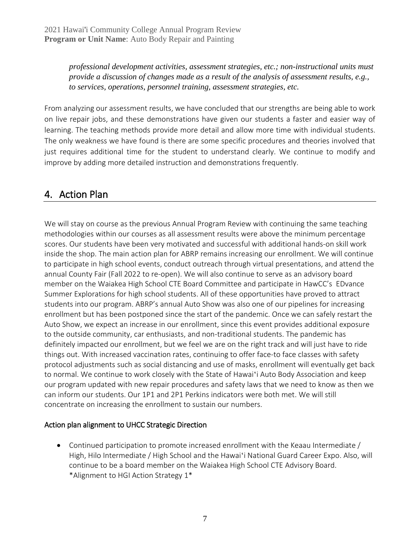*professional development activities, assessment strategies, etc.; non-instructional units must provide a discussion of changes made as a result of the analysis of assessment results, e.g., to services, operations, personnel training, assessment strategies, etc.*

From analyzing our assessment results, we have concluded that our strengths are being able to work on live repair jobs, and these demonstrations have given our students a faster and easier way of learning. The teaching methods provide more detail and allow more time with individual students. The only weakness we have found is there are some specific procedures and theories involved that just requires additional time for the student to understand clearly. We continue to modify and improve by adding more detailed instruction and demonstrations frequently.

## 4. Action Plan

We will stay on course as the previous Annual Program Review with continuing the same teaching methodologies within our courses as all assessment results were above the minimum percentage scores. Our students have been very motivated and successful with additional hands-on skill work inside the shop. The main action plan for ABRP remains increasing our enrollment. We will continue to participate in high school events, conduct outreach through virtual presentations, and attend the annual County Fair (Fall 2022 to re-open). We will also continue to serve as an advisory board member on the Waiakea High School CTE Board Committee and participate in HawCC's EDvance Summer Explorations for high school students. All of these opportunities have proved to attract students into our program. ABRP's annual Auto Show was also one of our pipelines for increasing enrollment but has been postponed since the start of the pandemic. Once we can safely restart the Auto Show, we expect an increase in our enrollment, since this event provides additional exposure to the outside community, car enthusiasts, and non-traditional students. The pandemic has definitely impacted our enrollment, but we feel we are on the right track and will just have to ride things out. With increased vaccination rates, continuing to offer face-to face classes with safety protocol adjustments such as social distancing and use of masks, enrollment will eventually get back to normal. We continue to work closely with the State of Hawai'i Auto Body Association and keep our program updated with new repair procedures and safety laws that we need to know as then we can inform our students. Our 1P1 and 2P1 Perkins indicators were both met. We will still concentrate on increasing the enrollment to sustain our numbers.

#### Action plan alignment to UHCC Strategic Direction

• Continued participation to promote increased enrollment with the Keaau Intermediate / High, Hilo Intermediate / High School and the Hawai'i National Guard Career Expo. Also, will continue to be a board member on the Waiakea High School CTE Advisory Board. \*Alignment to HGI Action Strategy 1\*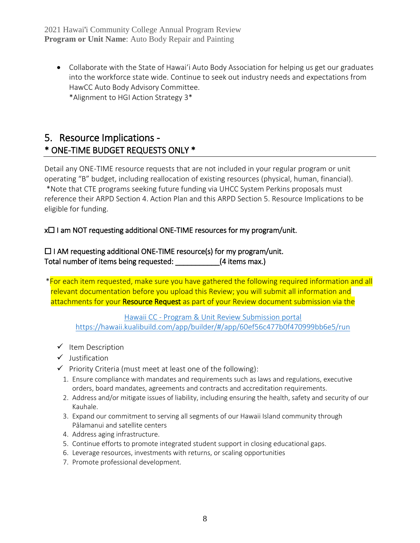• Collaborate with the State of Hawaiʻi Auto Body Association for helping us get our graduates into the workforce state wide. Continue to seek out industry needs and expectations from HawCC Auto Body Advisory Committee. \*Alignment to HGI Action Strategy 3\*

## 5. Resource Implications - \* ONE-TIME BUDGET REQUESTS ONLY \*

Detail any ONE-TIME resource requests that are not included in your regular program or unit operating "B" budget, including reallocation of existing resources (physical, human, financial). \*Note that CTE programs seeking future funding via UHCC System Perkins proposals must reference their ARPD Section 4. Action Plan and this ARPD Section 5. Resource Implications to be eligible for funding.

#### x☐ I am NOT requesting additional ONE-TIME resources for my program/unit.

☐ I AM requesting additional ONE-TIME resource(s) for my program/unit. Total number of items being requested:  $(4$  items max.)

\*For each item requested, make sure you have gathered the following required information and all relevant documentation before you upload this Review; you will submit all information and attachments for your Resource Request as part of your Review document submission via the

Hawaii CC - [Program & Unit Review Submission portal](https://hawaii.kualibuild.com/app/builder/#/app/60ef56c477b0f470999bb6e5/run) <https://hawaii.kualibuild.com/app/builder/#/app/60ef56c477b0f470999bb6e5/run>

- ✓ Item Description
- ✓ Justification
- $\checkmark$  Priority Criteria (must meet at least one of the following):
	- 1. Ensure compliance with mandates and requirements such as laws and regulations, executive orders, board mandates, agreements and contracts and accreditation requirements.
	- 2. Address and/or mitigate issues of liability, including ensuring the health, safety and security of our Kauhale.
	- 3. Expand our commitment to serving all segments of our Hawaii Island community through Pālamanui and satellite centers
	- 4. Address aging infrastructure.
	- 5. Continue efforts to promote integrated student support in closing educational gaps.
	- 6. Leverage resources, investments with returns, or scaling opportunities
	- 7. Promote professional development.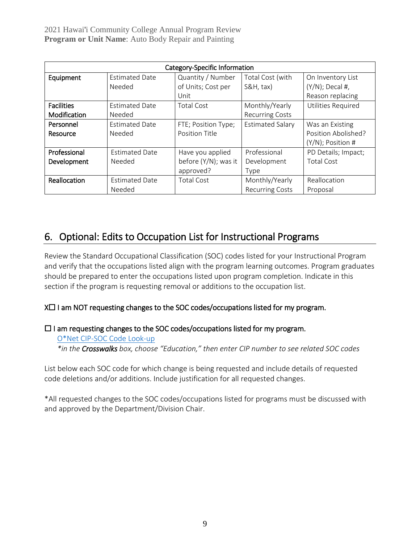2021 Hawai'i Community College Annual Program Review **Program or Unit Name**: Auto Body Repair and Painting

| Category-Specific Information |                       |                      |                         |                           |
|-------------------------------|-----------------------|----------------------|-------------------------|---------------------------|
| Equipment                     | <b>Estimated Date</b> | Quantity / Number    | Total Cost (with        | On Inventory List         |
|                               | Needed                | of Units; Cost per   | $S&H, \text{tax}$       | $(Y/N)$ ; Decal #,        |
|                               |                       | Unit                 |                         | Reason replacing          |
| <b>Facilities</b>             | <b>Estimated Date</b> | <b>Total Cost</b>    | Monthly/Yearly          | <b>Utilities Required</b> |
| Modification                  | Needed                |                      | <b>Recurring Costs</b>  |                           |
| Personnel                     | <b>Estimated Date</b> | FTE; Position Type;  | <b>Estimated Salary</b> | Was an Existing           |
| Resource                      | Needed                | Position Title       |                         | Position Abolished?       |
|                               |                       |                      |                         | $(Y/N)$ ; Position #      |
| Professional                  | <b>Estimated Date</b> | Have you applied     | Professional            | PD Details; Impact;       |
| Development                   | Needed                | before (Y/N); was it | Development             | <b>Total Cost</b>         |
|                               |                       | approved?            | Type                    |                           |
| Reallocation                  | <b>Estimated Date</b> | <b>Total Cost</b>    | Monthly/Yearly          | Reallocation              |
|                               | Needed                |                      | <b>Recurring Costs</b>  | Proposal                  |

## 6. Optional: Edits to Occupation List for Instructional Programs

Review the Standard Occupational Classification (SOC) codes listed for your Instructional Program and verify that the occupations listed align with the program learning outcomes. Program graduates should be prepared to enter the occupations listed upon program completion. Indicate in this section if the program is requesting removal or additions to the occupation list.

#### X□ I am NOT requesting changes to the SOC codes/occupations listed for my program.

#### ☐ I am requesting changes to the SOC codes/occupations listed for my program.

[O\\*Net CIP-SOC Code Look-up](http://www.onetonline.org/) *\*in the Crosswalks box, choose "Education," then enter CIP number to see related SOC codes*

List below each SOC code for which change is being requested and include details of requested code deletions and/or additions. Include justification for all requested changes.

\*All requested changes to the SOC codes/occupations listed for programs must be discussed with and approved by the Department/Division Chair.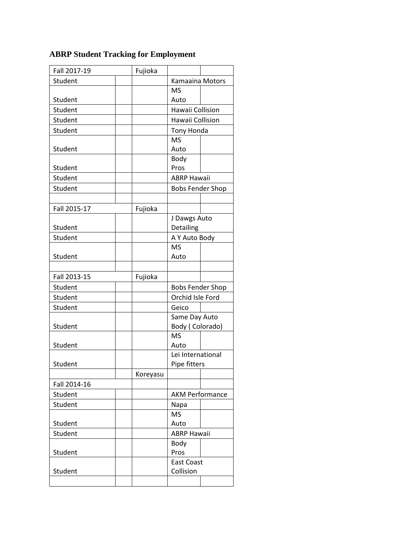| Fall 2017-19 | Fujioka  |                                   |  |
|--------------|----------|-----------------------------------|--|
| Student      |          | Kamaaina Motors                   |  |
|              |          | <b>MS</b>                         |  |
| Student      |          | Auto                              |  |
| Student      |          | Hawaii Collision                  |  |
| Student      |          | Hawaii Collision                  |  |
| Student      |          | Tony Honda                        |  |
|              |          | <b>MS</b>                         |  |
| Student      |          | Auto                              |  |
|              |          | Body                              |  |
| Student      |          | Pros                              |  |
| Student      |          | <b>ABRP Hawaii</b>                |  |
| Student      |          | <b>Bobs Fender Shop</b>           |  |
|              |          |                                   |  |
| Fall 2015-17 | Fujioka  |                                   |  |
|              |          | J Dawgs Auto                      |  |
| Student      |          | Detailing                         |  |
| Student      |          | A Y Auto Body                     |  |
|              |          | <b>MS</b>                         |  |
| Student      |          | Auto                              |  |
|              |          |                                   |  |
| Fall 2013-15 | Fujioka  |                                   |  |
| Student      |          | <b>Bobs Fender Shop</b>           |  |
| Student      |          | Orchid Isle Ford                  |  |
| Student      |          | Geico                             |  |
|              |          | Same Day Auto                     |  |
| Student      |          | Body (Colorado)                   |  |
| Student      |          | <b>MS</b><br>Auto                 |  |
|              |          |                                   |  |
| Student      |          | Lei International<br>Pipe fitters |  |
|              | Koreyasu |                                   |  |
| Fall 2014-16 |          |                                   |  |
| Student      |          | <b>AKM Performance</b>            |  |
| Student      |          | Napa                              |  |
|              |          | <b>MS</b>                         |  |
| Student      |          | Auto                              |  |
| Student      |          | <b>ABRP Hawaii</b>                |  |
|              |          | Body                              |  |
| Student      |          | Pros                              |  |
|              |          | <b>East Coast</b>                 |  |
| Student      |          | Collision                         |  |
|              |          |                                   |  |

## **ABRP Student Tracking for Employment**